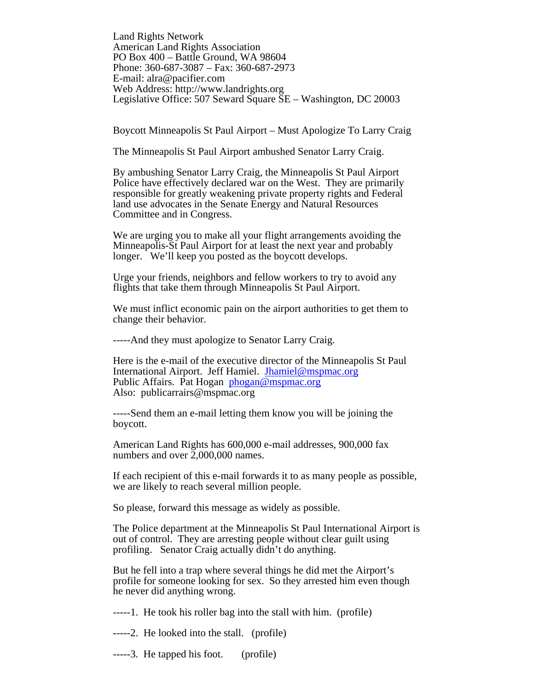Land Rights Network American Land Rights Association PO Box 400 – Battle Ground, WA 98604 Phone: 360-687-3087 – Fax: 360-687-2973 E-mail: alra@pacifier.com Web Address: http://www.landrights.org Legislative Office: 507 Seward Square SE – Washington, DC 20003

Boycott Minneapolis St Paul Airport – Must Apologize To Larry Craig

The Minneapolis St Paul Airport ambushed Senator Larry Craig.

By ambushing Senator Larry Craig, the Minneapolis St Paul Airport Police have effectively declared war on the West. They are primarily responsible for greatly weakening private property rights and Federal land use advocates in the Senate Energy and Natural Resources Committee and in Congress.

We are urging you to make all your flight arrangements avoiding the Minneapolis-St Paul Airport for at least the next year and probably longer. We'll keep you posted as the boycott develops.

Urge your friends, neighbors and fellow workers to try to avoid any flights that take them through Minneapolis St Paul Airport.

We must inflict economic pain on the airport authorities to get them to change their behavior.

-----And they must apologize to Senator Larry Craig.

Here is the e-mail of the executive director of the Minneapolis St Paul International Airport. Jeff Hamiel. Jhamiel@mspmac.org Public Affairs. Pat Hogan phogan@mspmac.org Also: publicarrairs@mspmac.org

-----Send them an e-mail letting them know you will be joining the boycott.

American Land Rights has 600,000 e-mail addresses, 900,000 fax numbers and over  $2,000,000$  names.

If each recipient of this e-mail forwards it to as many people as possible, we are likely to reach several million people.

So please, forward this message as widely as possible.

The Police department at the Minneapolis St Paul International Airport is out of control. They are arresting people without clear guilt using profiling. Senator Craig actually didn't do anything.

But he fell into a trap where several things he did met the Airport's profile for someone looking for sex. So they arrested him even though he never did anything wrong.

-----1. He took his roller bag into the stall with him. (profile)

-----2. He looked into the stall. (profile)

-----3. He tapped his foot. (profile)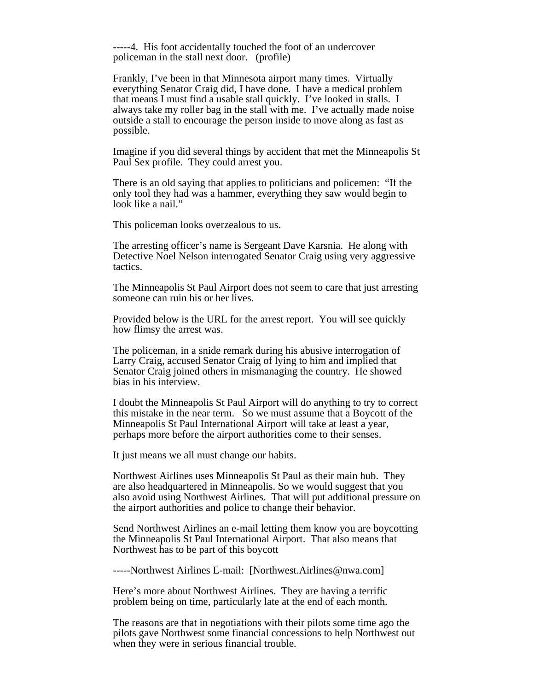-----4. His foot accidentally touched the foot of an undercover policeman in the stall next door. (profile)

Frankly, I've been in that Minnesota airport many times. Virtually everything Senator Craig did, I have done. I have a medical problem that means I must find a usable stall quickly. I've looked in stalls. I always take my roller bag in the stall with me. I've actually made noise outside a stall to encourage the person inside to move along as fast as possible.

Imagine if you did several things by accident that met the Minneapolis St Paul Sex profile. They could arrest you.

There is an old saying that applies to politicians and policemen: "If the only tool they had was a hammer, everything they saw would begin to look like a nail."

This policeman looks overzealous to us.

The arresting officer's name is Sergeant Dave Karsnia. He along with Detective Noel Nelson interrogated Senator Craig using very aggressive tactics.

The Minneapolis St Paul Airport does not seem to care that just arresting someone can ruin his or her lives.

Provided below is the URL for the arrest report. You will see quickly how flimsy the arrest was.

The policeman, in a snide remark during his abusive interrogation of Larry Craig, accused Senator Craig of lying to him and implied that Senator Craig joined others in mismanaging the country. He showed bias in his interview.

I doubt the Minneapolis St Paul Airport will do anything to try to correct this mistake in the near term. So we must assume that a Boycott of the Minneapolis St Paul International Airport will take at least a year, perhaps more before the airport authorities come to their senses.

It just means we all must change our habits.

Northwest Airlines uses Minneapolis St Paul as their main hub. They are also headquartered in Minneapolis. So we would suggest that you also avoid using Northwest Airlines. That will put additional pressure on the airport authorities and police to change their behavior.

Send Northwest Airlines an e-mail letting them know you are boycotting the Minneapolis St Paul International Airport. That also means that Northwest has to be part of this boycott

-----Northwest Airlines E-mail: [Northwest.Airlines@nwa.com]

Here's more about Northwest Airlines. They are having a terrific problem being on time, particularly late at the end of each month.

The reasons are that in negotiations with their pilots some time ago the pilots gave Northwest some financial concessions to help Northwest out when they were in serious financial trouble.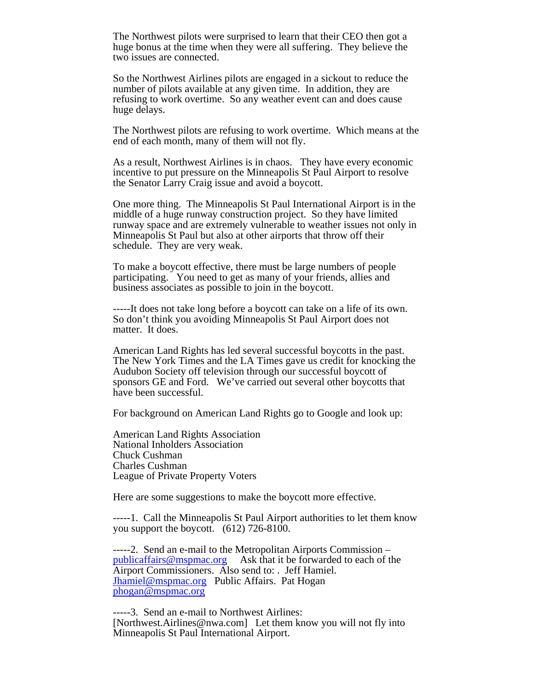The Northwest pilots were surprised to learn that their CEO then got a huge bonus at the time when they were all suffering. They believe the two issues are connected.

So the Northwest Airlines pilots are engaged in a sickout to reduce the number of pilots available at any given time. In addition, they are refusing to work overtime. So any weather event can and does cause huge delays.

The Northwest pilots are refusing to work overtime. Which means at the end of each month, many of them will not fly.

As a result, Northwest Airlines is in chaos. They have every economic incentive to put pressure on the Minneapolis St Paul Airport to resolve the Senator Larry Craig issue and avoid a boycott.

One more thing. The Minneapolis St Paul International Airport is in the middle of a huge runway construction project. So they have limited runway space and are extremely vulnerable to weather issues not only in Minneapolis St Paul but also at other airports that throw off their schedule. They are very weak.

To make a boycott effective, there must be large numbers of people participating. You need to get as many of your friends, allies and business associates as possible to join in the boycott.

-----It does not take long before a boycott can take on a life of its own. So don't think you avoiding Minneapolis St Paul Airport does not matter. It does.

American Land Rights has led several successful boycotts in the past. The New York Times and the LA Times gave us credit for knocking the Audubon Society off television through our successful boycott of sponsors GE and Ford. We've carried out several other boycotts that have been successful.

For background on American Land Rights go to Google and look up:

American Land Rights Association National Inholders Association Chuck Cushman Charles Cushman League of Private Property Voters

Here are some suggestions to make the boycott more effective.

-----1. Call the Minneapolis St Paul Airport authorities to let them know you support the boycott. (612) 726-8100.

-----2. Send an e-mail to the Metropolitan Airports Commission – publicaffairs@mspmac.org Ask that it be forwarded to each of the Airport Commissioners. Also send to: . Jeff Hamiel. Jhamiel@mspmac.org Public Affairs. Pat Hogan phogan@mspmac.org

-----3. Send an e-mail to Northwest Airlines: [Northwest.Airlines@nwa.com] Let them know you will not fly into Minneapolis St Paul International Airport.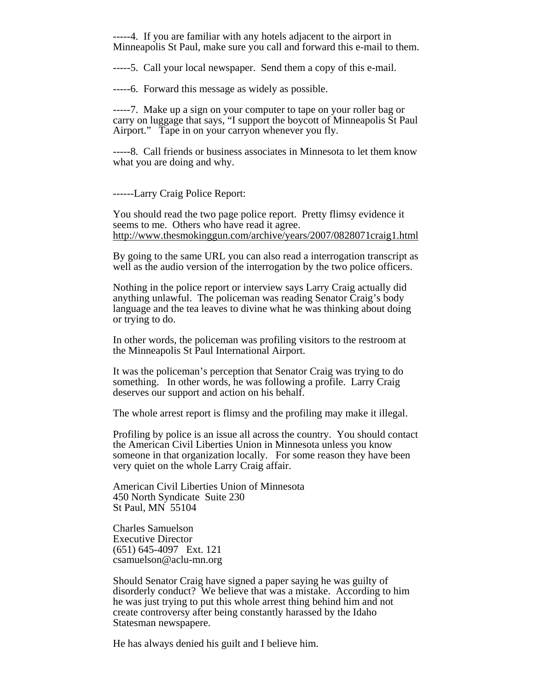-----4. If you are familiar with any hotels adjacent to the airport in Minneapolis St Paul, make sure you call and forward this e-mail to them.

-----5. Call your local newspaper. Send them a copy of this e-mail.

-----6. Forward this message as widely as possible.

-----7. Make up a sign on your computer to tape on your roller bag or carry on luggage that says, "I support the boycott of Minneapolis St Paul Airport." Tape in on your carryon whenever you fly.

-----8. Call friends or business associates in Minnesota to let them know what you are doing and why.

------Larry Craig Police Report:

You should read the two page police report. Pretty flimsy evidence it seems to me. Others who have read it agree. http://www.thesmokinggun.com/archive/years/2007/0828071craig1.html

By going to the same URL you can also read a interrogation transcript as well as the audio version of the interrogation by the two police officers.

Nothing in the police report or interview says Larry Craig actually did anything unlawful. The policeman was reading Senator Craig's body language and the tea leaves to divine what he was thinking about doing or trying to do.

In other words, the policeman was profiling visitors to the restroom at the Minneapolis St Paul International Airport.

It was the policeman's perception that Senator Craig was trying to do something. In other words, he was following a profile. Larry Craig deserves our support and action on his behalf.

The whole arrest report is flimsy and the profiling may make it illegal.

Profiling by police is an issue all across the country. You should contact the American Civil Liberties Union in Minnesota unless you know someone in that organization locally. For some reason they have been very quiet on the whole Larry Craig affair.

American Civil Liberties Union of Minnesota 450 North Syndicate Suite 230 St Paul, MN 55104

Charles Samuelson Executive Director (651) 645-4097 Ext. 121 csamuelson@aclu-mn.org

Should Senator Craig have signed a paper saying he was guilty of disorderly conduct? We believe that was a mistake. According to him he was just trying to put this whole arrest thing behind him and not create controversy after being constantly harassed by the Idaho Statesman newspapere.

He has always denied his guilt and I believe him.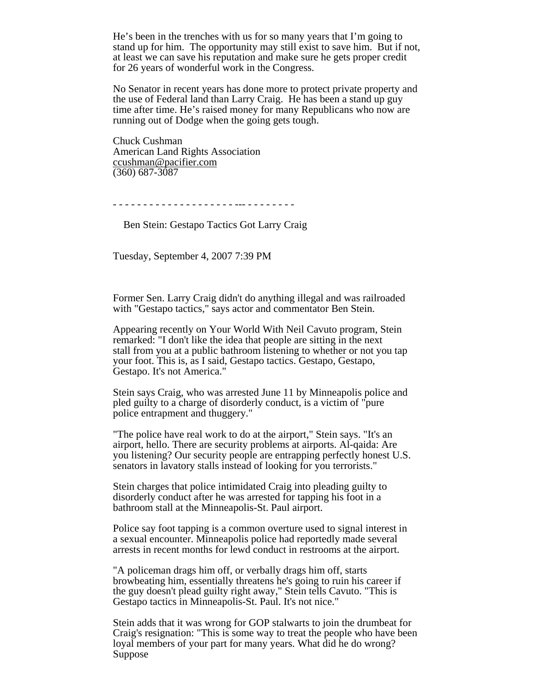He's been in the trenches with us for so many years that I'm going to stand up for him. The opportunity may still exist to save him. But if not, at least we can save his reputation and make sure he gets proper credit for 26 years of wonderful work in the Congress.

No Senator in recent years has done more to protect private property and the use of Federal land than Larry Craig. He has been a stand up guy time after time. He's raised money for many Republicans who now are running out of Dodge when the going gets tough.

Chuck Cushman American Land Rights Association ccushman@pacifier.com (360) 687-3087

- - - - - - - - - - - - - - - - - - - - --- - - - - - - - -

Ben Stein: Gestapo Tactics Got Larry Craig

Tuesday, September 4, 2007 7:39 PM

Former Sen. Larry Craig didn't do anything illegal and was railroaded with "Gestapo tactics," says actor and commentator Ben Stein.

Appearing recently on Your World With Neil Cavuto program, Stein remarked: "I don't like the idea that people are sitting in the next stall from you at a public bathroom listening to whether or not you tap your foot. This is, as I said, Gestapo tactics. Gestapo, Gestapo, Gestapo. It's not America."

Stein says Craig, who was arrested June 11 by Minneapolis police and pled guilty to a charge of disorderly conduct, is a victim of "pure police entrapment and thuggery."

"The police have real work to do at the airport," Stein says. "It's an airport, hello. There are security problems at airports. Al-qaida: Are you listening? Our security people are entrapping perfectly honest U.S. senators in lavatory stalls instead of looking for you terrorists."

Stein charges that police intimidated Craig into pleading guilty to disorderly conduct after he was arrested for tapping his foot in a bathroom stall at the Minneapolis-St. Paul airport.

Police say foot tapping is a common overture used to signal interest in a sexual encounter. Minneapolis police had reportedly made several arrests in recent months for lewd conduct in restrooms at the airport.

"A policeman drags him off, or verbally drags him off, starts browbeating him, essentially threatens he's going to ruin his career if the guy doesn't plead guilty right away," Stein tells Cavuto. "This is Gestapo tactics in Minneapolis-St. Paul. It's not nice."

Stein adds that it was wrong for GOP stalwarts to join the drumbeat for Craig's resignation: "This is some way to treat the people who have been loyal members of your part for many years. What did he do wrong? Suppose